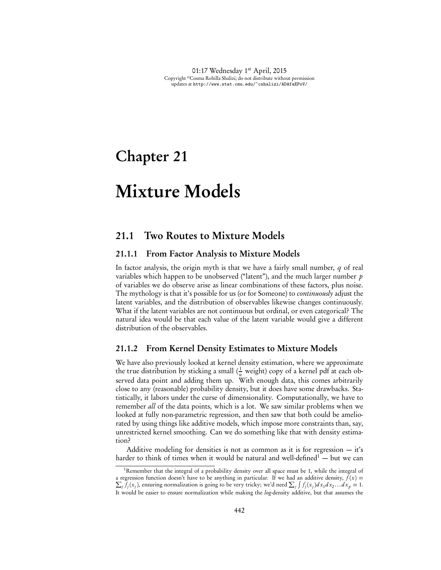## Chapter 21

# Mixture Models

#### 21.1 Two Routes to Mixture Models

#### 21.1.1 From Factor Analysis to Mixture Models

In factor analysis, the origin myth is that we have a fairly small number, *q* of real variables which happen to be unobserved ("latent"), and the much larger number *p* of variables we do observe arise as linear combinations of these factors, plus noise. The mythology is that it's possible for us (or for Someone) to *continuously* adjust the latent variables, and the distribution of observables likewise changes continuously. What if the latent variables are not continuous but ordinal, or even categorical? The natural idea would be that each value of the latent variable would give a different distribution of the observables.

#### 21.1.2 From Kernel Density Estimates to Mixture Models

We have also previously looked at kernel density estimation, where we approximate the true distribution by sticking a small  $(\frac{1}{n}$  weight) copy of a kernel pdf at each observed data point and adding them up. With enough data, this comes arbitrarily close to any (reasonable) probability density, but it does have some drawbacks. Statistically, it labors under the curse of dimensionality. Computationally, we have to remember *all* of the data points, which is a lot. We saw similar problems when we looked at fully non-parametric regression, and then saw that both could be ameliorated by using things like additive models, which impose more constraints than, say, unrestricted kernel smoothing. Can we do something like that with density estimation?

Additive modeling for densities is not as common as it is for regression — it's harder to think of times when it would be natural and well-defined<sup>1</sup> — but we can

<sup>&</sup>lt;sup>1</sup>Remember that the integral of a probability density over all space must be 1, while the integral of a regression function doesn't have to be anything in particular. If we had an additive density,  $f(x)$  =  $\sum_j \widetilde{f}_j(x_j)$ , ensuring normalization is going to be very tricky; we'd need  $\sum_j \int f_j(x_j) dx_1 dx_2 ... dx_p = 1$ . It would be easier to ensure normalization while making the *log*-density additive, but that assumes the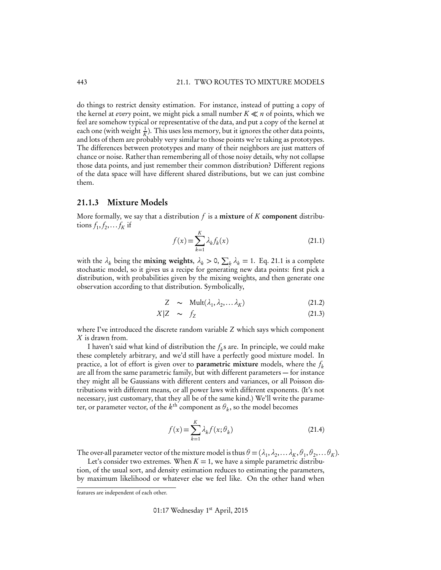do things to restrict density estimation. For instance, instead of putting a copy of the kernel at *every* point, we might pick a small number  $K \ll n$  of points, which we feel are somehow typical or representative of the data, and put a copy of the kernel at each one (with weight  $\frac{1}{K}$ ). This uses less memory, but it ignores the other data points, and lots of them are probably very similar to those points we're taking as prototypes. The differences between prototypes and many of their neighbors are just matters of chance or noise. Rather than remembering all of those noisy details, why not collapse those data points, and just remember their common distribution? Different regions of the data space will have different shared distributions, but we can just combine them.

#### 21.1.3 Mixture Models

More formally, we say that a distribution *f* is a mixture of *K* component distributions  $f_1, f_2, \ldots, f_K$  if

$$
f(x) = \sum_{k=1}^{K} \lambda_k f_k(x)
$$
\n(21.1)

with the  $\lambda_k$  being the **mixing weights**,  $\lambda_k > 0$ ,  $\sum_k \lambda_k = 1$ . Eq. 21.1 is a complete stochastic model, so it gives us a recipe for generating new data points: first pick a distribution, with probabilities given by the mixing weights, and then generate one observation according to that distribution. Symbolically,

$$
Z \sim \text{Mult}(\lambda_1, \lambda_2, \dots \lambda_K) \tag{21.2}
$$

$$
X|Z \sim f_Z \tag{21.3}
$$

where I've introduced the discrete random variable *Z* which says which component *X* is drawn from.

I haven't said what kind of distribution the  $f_k$ s are. In principle, we could make these completely arbitrary, and we'd still have a perfectly good mixture model. In practice, a lot of effort is given over to **parametric mixture** models, where the  $f_k$ are all from the same parametric family, but with different parameters — for instance they might all be Gaussians with different centers and variances, or all Poisson distributions with different means, or all power laws with different exponents. (It's not necessary, just customary, that they all be of the same kind.) We'll write the parameter, or parameter vector, of the  $k^{\text{th}}$  component as  $\theta_k$ , so the model becomes

$$
f(x) = \sum_{k=1}^{K} \lambda_k f(x; \theta_k)
$$
 (21.4)

The over-all parameter vector of the mixture model is thus  $\theta = (\lambda_1, \lambda_2, \dots \lambda_K, \theta_1, \theta_2, \dots \theta_K)$ .

Let's consider two extremes. When  $K = 1$ , we have a simple parametric distribution, of the usual sort, and density estimation reduces to estimating the parameters, by maximum likelihood or whatever else we feel like. On the other hand when

features are independent of each other.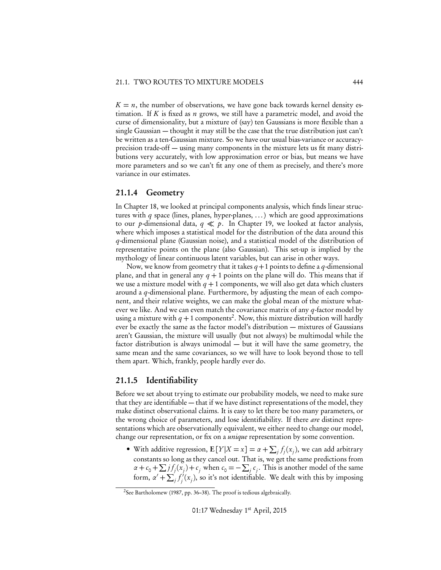$K = n$ , the number of observations, we have gone back towards kernel density estimation. If *K* is fixed as *n* grows, we still have a parametric model, and avoid the curse of dimensionality, but a mixture of (say) ten Gaussians is more flexible than a single Gaussian — thought it may still be the case that the true distribution just can't be written as a ten-Gaussian mixture. So we have our usual bias-variance or accuracyprecision trade-off — using many components in the mixture lets us fit many distributions very accurately, with low approximation error or bias, but means we have more parameters and so we can't fit any one of them as precisely, and there's more variance in our estimates.

#### 21.1.4 Geometry

In Chapter 18, we looked at principal components analysis, which finds linear structures with *q* space (lines, planes, hyper-planes, . . .) which are good approximations to our *p*-dimensional data,  $q \ll p$ . In Chapter 19, we looked at factor analysis, where which imposes a statistical model for the distribution of the data around this *q*-dimensional plane (Gaussian noise), and a statistical model of the distribution of representative points on the plane (also Gaussian). This set-up is implied by the mythology of linear continuous latent variables, but can arise in other ways.

Now, we know from geometry that it takes  $q+1$  points to define a *q*-dimensional plane, and that in general any  $q + 1$  points on the plane will do. This means that if we use a mixture model with  $q + 1$  components, we will also get data which clusters around a *q*-dimensional plane. Furthermore, by adjusting the mean of each component, and their relative weights, we can make the global mean of the mixture whatever we like. And we can even match the covariance matrix of any *q*-factor model by using a mixture with  $q + 1$  components<sup>2</sup>. Now, this mixture distribution will hardly ever be exactly the same as the factor model's distribution — mixtures of Gaussians aren't Gaussian, the mixture will usually (but not always) be multimodal while the factor distribution is always unimodal — but it will have the same geometry, the same mean and the same covariances, so we will have to look beyond those to tell them apart. Which, frankly, people hardly ever do.

#### 21.1.5 Identifiability

Before we set about trying to estimate our probability models, we need to make sure that they are identifiable — that if we have distinct representations of the model, they make distinct observational claims. It is easy to let there be too many parameters, or the wrong choice of parameters, and lose identifiability. If there *are* distinct representations which are observationally equivalent, we either need to change our model, change our representation, or fix on a *unique* representation by some convention.

• With additive regression,  $E[Y|X=x] = \alpha + \sum_j f_j(x_j)$ , we can add arbitrary constants so long as they cancel out. That is, we get the same predictions from  $\alpha + c_0 + \sum j f_j(x_j) + c_j$  when  $c_0 = -\sum_j c_j$ . This is another model of the same form,  $\alpha' + \sum_j^{\prime} f_j^{'}(x_j)$ , so it's not identifiable. We dealt with this by imposing

<sup>2</sup>See Bartholomew (1987, pp. 36–38). The proof is tedious algebraically.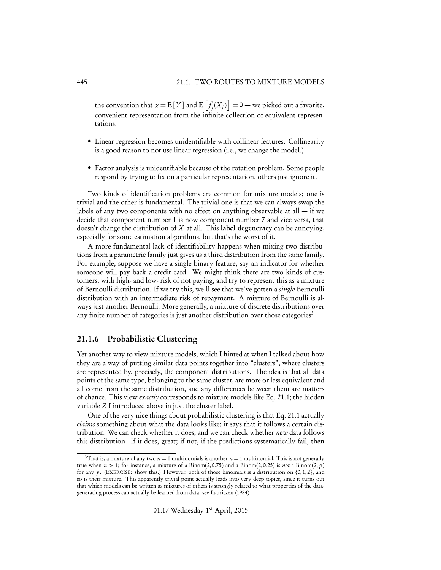the convention that  $\alpha = \mathbf{E}\left[Y\right]$  and  $\mathbf{E}\left[f_j(X_j)\right] = 0$  — we picked out a favorite, convenient representation from the infinite collection of equivalent representations.

- Linear regression becomes unidentifiable with collinear features. Collinearity is a good reason to not use linear regression (i.e., we change the model.)
- Factor analysis is unidentifiable because of the rotation problem. Some people respond by trying to fix on a particular representation, others just ignore it.

Two kinds of identification problems are common for mixture models; one is trivial and the other is fundamental. The trivial one is that we can always swap the labels of any two components with no effect on anything observable at all  $-$  if we decide that component number 1 is now component number 7 and vice versa, that doesn't change the distribution of *X* at all. This label degeneracy can be annoying, especially for some estimation algorithms, but that's the worst of it.

A more fundamental lack of identifiability happens when mixing two distributions from a parametric family just gives us a third distribution from the same family. For example, suppose we have a single binary feature, say an indicator for whether someone will pay back a credit card. We might think there are two kinds of customers, with high- and low- risk of not paying, and try to represent this as a mixture of Bernoulli distribution. If we try this, we'll see that we've gotten a *single* Bernoulli distribution with an intermediate risk of repayment. A mixture of Bernoulli is always just another Bernoulli. More generally, a mixture of discrete distributions over any finite number of categories is just another distribution over those categories<sup>3</sup>

#### 21.1.6 Probabilistic Clustering

Yet another way to view mixture models, which I hinted at when I talked about how they are a way of putting similar data points together into "clusters", where clusters are represented by, precisely, the component distributions. The idea is that all data points of the same type, belonging to the same cluster, are more or less equivalent and all come from the same distribution, and any differences between them are matters of chance. This view *exactly* corresponds to mixture models like Eq. 21.1; the hidden variable *Z* I introduced above in just the cluster label.

One of the very nice things about probabilistic clustering is that Eq. 21.1 actually *claims* something about what the data looks like; it says that it follows a certain distribution. We can check whether it does, and we can check whether *new* data follows this distribution. If it does, great; if not, if the predictions systematically fail, then

<sup>&</sup>lt;sup>3</sup>That is, a mixture of any two  $n = 1$  multinomials is another  $n = 1$  multinomial. This is not generally true when  $n > 1$ ; for instance, a mixture of a Binom(2,0.75) and a Binom(2,0.25) is *not* a Binom(2, *p*) for any *p*. (EXERCISE: show this.) However, both of those binomials is a distribution on *{*0, 1, 2*}*, and so is their mixture. This apparently trivial point actually leads into very deep topics, since it turns out that which models can be written as mixtures of others is strongly related to what properties of the datagenerating process can actually be learned from data: see Lauritzen (1984).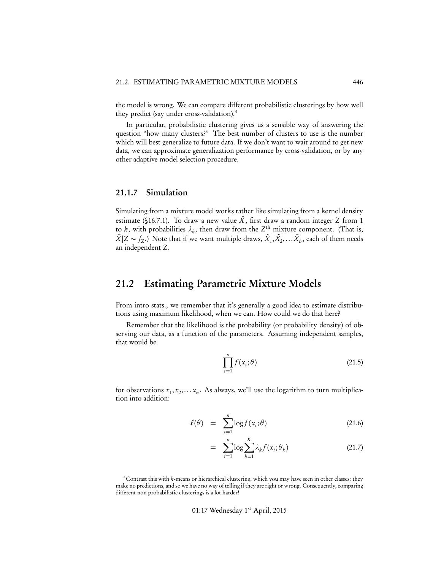the model is wrong. We can compare different probabilistic clusterings by how well they predict (say under cross-validation).<sup>4</sup>

In particular, probabilistic clustering gives us a sensible way of answering the question "how many clusters?" The best number of clusters to use is the number which will best generalize to future data. If we don't want to wait around to get new data, we can approximate generalization performance by cross-validation, or by any other adaptive model selection procedure.

#### 21.1.7 Simulation

Simulating from a mixture model works rather like simulating from a kernel density estimate (§16.7.1). To draw a new value  $\tilde{X}$ , first draw a random integer Z from 1 to *k*, with probabilities  $\lambda_k$ , then draw from the Z<sup>th</sup> mixture component. (That is,  $\tilde{X} | Z \sim f_Z$ .) Note that if we want multiple draws,  $\tilde{X}_1, \tilde{X}_2, \ldots \tilde{X}_b$ , each of them needs an independent *Z*.

#### 21.2 Estimating Parametric Mixture Models

From intro stats., we remember that it's generally a good idea to estimate distributions using maximum likelihood, when we can. How could we do that here?

Remember that the likelihood is the probability (or probability density) of observing our data, as a function of the parameters. Assuming independent samples, that would be

$$
\prod_{i=1}^{n} f(x_i; \theta) \tag{21.5}
$$

for observations  $x_1, x_2,... x_n$ . As always, we'll use the logarithm to turn multiplication into addition:

$$
\ell(\theta) = \sum_{i=1}^{n} \log f(x_i; \theta) \tag{21.6}
$$

$$
= \sum_{i=1}^{n} \log \sum_{k=1}^{K} \lambda_k f(x_i; \theta_k)
$$
 (21.7)

<sup>4</sup>Contrast this with *k*-means or hierarchical clustering, which you may have seen in other classes: they make no predictions, and so we have no way of telling if they are right or wrong. Consequently, comparing different non-probabilistic clusterings is a lot harder!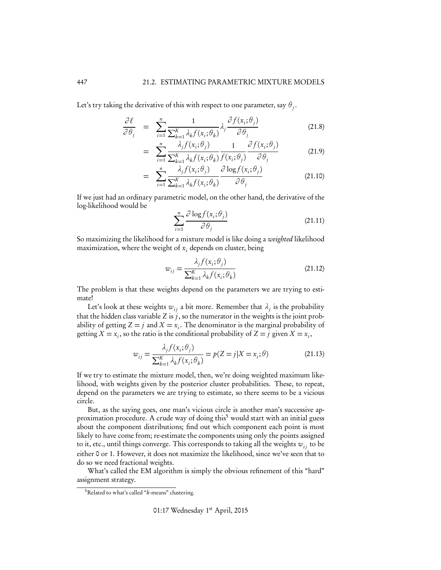Let's try taking the derivative of this with respect to one parameter, say  $\theta_i$ .

$$
\frac{\partial \ell}{\partial \theta_j} = \sum_{i=1}^n \frac{1}{\sum_{k=1}^K \lambda_k f(x_i; \theta_k)} \lambda_j \frac{\partial f(x_i; \theta_j)}{\partial \theta_j}
$$
(21.8)

$$
= \sum_{i=1}^{n} \frac{\lambda_{j} f(x_{i}; \theta_{j})}{\sum_{k=1}^{K} \lambda_{k} f(x_{i}; \theta_{k})} \frac{1}{f(x_{i}; \theta_{j})} \frac{\partial f(x_{i}; \theta_{j})}{\partial \theta_{j}}
$$
(21.9)

$$
= \sum_{i=1}^{n} \frac{\lambda_j f(x_i; \theta_j)}{\sum_{k=1}^{K} \lambda_k f(x_i; \theta_k)} \frac{\partial \log f(x_i; \theta_j)}{\partial \theta_j}
$$
(21.10)

If we just had an ordinary parametric model, on the other hand, the derivative of the log-likelihood would be

$$
\sum_{i=1}^{n} \frac{\partial \log f(x_i; \theta_j)}{\partial \theta_j}
$$
 (21.11)

So maximizing the likelihood for a mixture model is like doing a *weighted* likelihood maximization, where the weight of *xi* depends on cluster, being

$$
w_{ij} = \frac{\lambda_j f(x_i; \theta_j)}{\sum_{k=1}^K \lambda_k f(x_i; \theta_k)}
$$
(21.12)

The problem is that these weights depend on the parameters we are trying to estimate!

Let's look at these weights  $w_{ij}$  a bit more. Remember that  $\lambda_i$  is the probability that the hidden class variable  $Z$  is  $j$ , so the numerator in the weights is the joint probability of getting  $Z = j$  and  $X = x_i$ . The denominator is the marginal probability of getting  $X = x_i$ , so the ratio is the conditional probability of  $Z = i$  given  $X = x_i$ ,

$$
w_{ij} = \frac{\lambda_j f(x_i; \theta_j)}{\sum_{k=1}^K \lambda_k f(x_i; \theta_k)} = p(Z = j | X = x_i; \theta)
$$
\n(21.13)

If we try to estimate the mixture model, then, we're doing weighted maximum likelihood, with weights given by the posterior cluster probabilities. These, to repeat, depend on the parameters we are trying to estimate, so there seems to be a vicious circle.

But, as the saying goes, one man's vicious circle is another man's successive approximation procedure. A crude way of doing this<sup>5</sup> would start with an initial guess about the component distributions; find out which component each point is most likely to have come from; re-estimate the components using only the points assigned to it, etc., until things converge. This corresponds to taking all the weights  $w_{ij}$  to be either 0 or 1. However, it does not maximize the likelihood, since we've seen that to do so we need fractional weights.

What's called the EM algorithm is simply the obvious refinement of this "hard" assignment strategy.

01:17 Wednesday 1<sup>st</sup> April, 2015

<sup>5</sup>Related to what's called "*k*-means" clustering.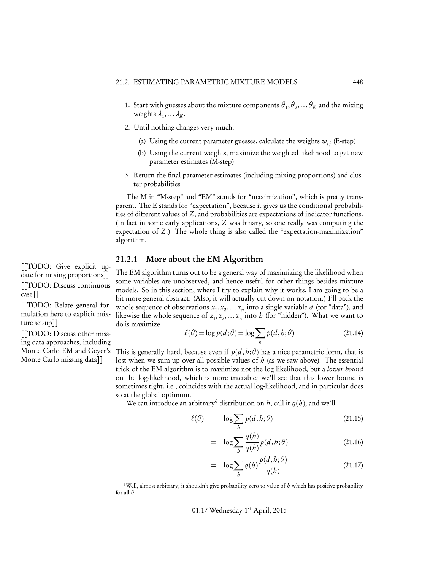- 1. Start with guesses about the mixture components  $\theta_1, \theta_2, \dots \theta_K$  and the mixing weights  $\lambda_1, \ldots \lambda_K$ .
- 2. Until nothing changes very much:
	- (a) Using the current parameter guesses, calculate the weights  $w_{ij}$  (E-step)
	- (b) Using the current weights, maximize the weighted likelihood to get new parameter estimates (M-step)
- 3. Return the final parameter estimates (including mixing proportions) and cluster probabilities

The M in "M-step" and "EM" stands for "maximization", which is pretty transparent. The E stands for "expectation", because it gives us the conditional probabilities of different values of *Z*, and probabilities are expectations of indicator functions. (In fact in some early applications, *Z* was binary, so one really was computing the expectation of *Z*.) The whole thing is also called the "expectation-maximization" algorithm.

#### 21.2.1 More about the EM Algorithm

The EM algorithm turns out to be a general way of maximizing the likelihood when some variables are unobserved, and hence useful for other things besides mixture models. So in this section, where I try to explain why it works, I am going to be a bit more general abstract. (Also, it will actually cut down on notation.) I'll pack the whole sequence of observations  $x_1, x_2, \ldots x_n$  into a single variable *d* (for "data"), and likewise the whole sequence of  $z_1, z_2, \ldots z_n$  into *h* (for "hidden"). What we want to do is maximize

$$
\ell(\theta) = \log p(d; \theta) = \log \sum_{b} p(d, b; \theta)
$$
\n(21.14)

This is generally hard, because even if  $p(d, h; \theta)$  has a nice parametric form, that is lost when we sum up over all possible values of *h* (as we saw above). The essential trick of the EM algorithm is to maximize not the log likelihood, but a *lower bound* on the log-likelihood, which is more tractable; we'll see that this lower bound is sometimes tight, i.e., coincides with the actual log-likelihood, and in particular does so at the global optimum.

We can introduce an arbitrary<sup>6</sup> distribution on *h*, call it  $q(h)$ , and we'll

$$
\ell(\theta) = \log \sum_{b} p(d, b; \theta) \tag{21.15}
$$

$$
= \log \sum_{b} \frac{q(b)}{q(b)} p(d, b; \theta) \tag{21.16}
$$

$$
= \log \sum_{b} q(b) \frac{p(d, b; \theta)}{q(b)} \tag{21.17}
$$

6Well, almost arbitrary; it shouldn't give probability zero to value of *h* which has positive probability for all  $\theta$ .

#### 01:17 Wednesday 1st April, 2015

[[TODO: Give explicit update for mixing proportions]] [[TODO: Discuss continuous case]]

[[TODO: Relate general formulation here to explicit mixture set-up]]

[[TODO: Discuss other missing data approaches, including Monte Carlo EM and Geyer's Monte Carlo missing data]]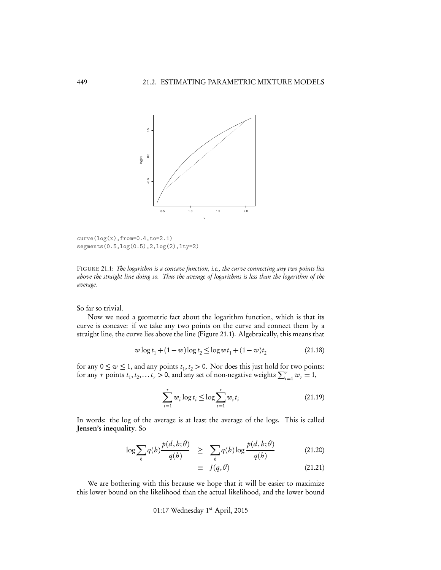

 $curve(log(x), from=0.4, to=2.1)$ segments(0.5,log(0.5),2,log(2),lty=2)

FIGURE 21.1: *The logarithm is a concave function, i.e., the curve connecting any two points lies above the straight line doing so. Thus the average of logarithms is less than the logarithm of the average.*

So far so trivial.

Now we need a geometric fact about the logarithm function, which is that its curve is concave: if we take any two points on the curve and connect them by a straight line, the curve lies above the line (Figure 21.1). Algebraically, this means that

$$
w \log t_1 + (1 - w) \log t_2 \le \log w t_1 + (1 - w) t_2 \tag{21.18}
$$

for any  $0 \le w \le 1$ , and any points  $t_1, t_2 > 0$ . Nor does this just hold for two points: for any *r* points  $t_1, t_2,... t_r > 0$ , and any set of non-negative weights  $\sum_{i=1}^r w_i = 1$ ,

$$
\sum_{i=1}^{r} w_i \log t_i \le \log \sum_{i=1}^{r} w_i t_i \tag{21.19}
$$

In words: the log of the average is at least the average of the logs. This is called Jensen's inequality. So

$$
\log \sum_{b} q(b) \frac{p(d, b; \theta)}{q(b)} \ge \sum_{b} q(b) \log \frac{p(d, b; \theta)}{q(b)} \tag{21.20}
$$

$$
\equiv J(q,\theta) \tag{21.21}
$$

We are bothering with this because we hope that it will be easier to maximize this lower bound on the likelihood than the actual likelihood, and the lower bound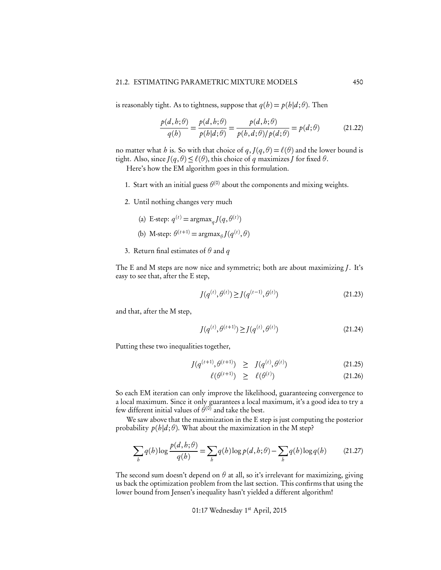is reasonably tight. As to tightness, suppose that  $q(h) = p(h|d; \theta)$ . Then

$$
\frac{p(d, h; \theta)}{q(b)} = \frac{p(d, h; \theta)}{p(b|d; \theta)} = \frac{p(d, h; \theta)}{p(b, d; \theta)/p(d; \theta)} = p(d; \theta)
$$
(21.22)

no matter what *h* is. So with that choice of  $q$ ,  $J(q, \theta) = \ell(\theta)$  and the lower bound is tight. Also, since  $J(q, \theta) \leq \ell(\theta)$ , this choice of *q* maximizes *J* for fixed  $\theta$ .

Here's how the EM algorithm goes in this formulation.

- 1. Start with an initial guess  $\theta^{(0)}$  about the components and mixing weights.
- 2. Until nothing changes very much
	- (a) E-step:  $q^{(t)} = \text{argmax}_q J(q, \theta^{(t)})$
	- (b) M-step:  $\theta^{(t+1)} = \text{argmax}_{\theta} J(q^{(t)}, \theta)$
- 3. Return final estimates of  $\theta$  and  $q$

The E and M steps are now nice and symmetric; both are about maximizing *J*. It's easy to see that, after the E step,

$$
J(q^{(t)}, \theta^{(t)}) \ge J(q^{(t-1)}, \theta^{(t)})
$$
\n(21.23)

and that, after the M step,

$$
J(q^{(t)}, \theta^{(t+1)}) \ge J(q^{(t)}, \theta^{(t)})
$$
\n(21.24)

Putting these two inequalities together,

$$
J(q^{(t+1)}, \theta^{(t+1)}) \geq J(q^{(t)}, \theta^{(t)}) \tag{21.25}
$$

$$
\ell(\theta^{(t+1)}) \quad \geq \quad \ell(\theta^{(t)}) \tag{21.26}
$$

So each EM iteration can only improve the likelihood, guaranteeing convergence to a local maximum. Since it only guarantees a local maximum, it's a good idea to try a few different initial values of  $\hat{\theta}^{(0)}$  and take the best.

We saw above that the maximization in the E step is just computing the posterior probability  $p(h|d; \theta)$ . What about the maximization in the M step?

$$
\sum_{b} q(b) \log \frac{p(d, b; \theta)}{q(b)} = \sum_{b} q(b) \log p(d, b; \theta) - \sum_{b} q(b) \log q(b) \tag{21.27}
$$

The second sum doesn't depend on  $\theta$  at all, so it's irrelevant for maximizing, giving us back the optimization problem from the last section. This confirms that using the lower bound from Jensen's inequality hasn't yielded a different algorithm!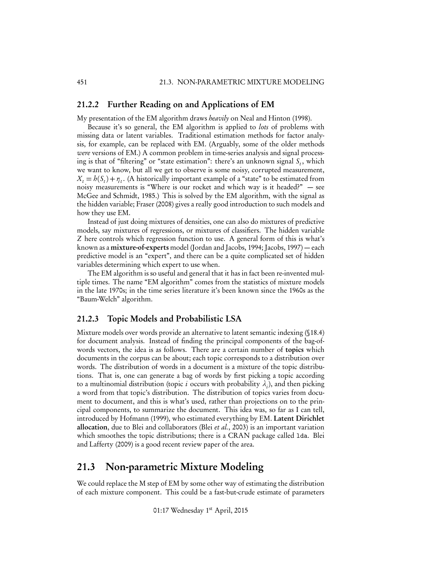#### 21.2.2 Further Reading on and Applications of EM

My presentation of the EM algorithm draws *heavily* on Neal and Hinton (1998).

Because it's so general, the EM algorithm is applied to *lots* of problems with missing data or latent variables. Traditional estimation methods for factor analysis, for example, can be replaced with EM. (Arguably, some of the older methods *were* versions of EM.) A common problem in time-series analysis and signal processing is that of "filtering" or "state estimation": there's an unknown signal  $S_t$ , which we want to know, but all we get to observe is some noisy, corrupted measurement,  $X_t = h(S_t) + \eta_t$ . (A historically important example of a "state" to be estimated from noisy measurements is "Where is our rocket and which way is it headed?" — see McGee and Schmidt, 1985.) This is solved by the EM algorithm, with the signal as the hidden variable; Fraser (2008) gives a really good introduction to such models and how they use EM.

Instead of just doing mixtures of densities, one can also do mixtures of predictive models, say mixtures of regressions, or mixtures of classifiers. The hidden variable *Z* here controls which regression function to use. A general form of this is what's known as a mixture-of-experts model (Jordan and Jacobs, 1994; Jacobs, 1997) — each predictive model is an "expert", and there can be a quite complicated set of hidden variables determining which expert to use when.

The EM algorithm is so useful and general that it has in fact been re-invented multiple times. The name "EM algorithm" comes from the statistics of mixture models in the late 1970s; in the time series literature it's been known since the 1960s as the "Baum-Welch" algorithm.

#### 21.2.3 Topic Models and Probabilistic LSA

Mixture models over words provide an alternative to latent semantic indexing (§18.4) for document analysis. Instead of finding the principal components of the bag-ofwords vectors, the idea is as follows. There are a certain number of topics which documents in the corpus can be about; each topic corresponds to a distribution over words. The distribution of words in a document is a mixture of the topic distributions. That is, one can generate a bag of words by first picking a topic according to a multinomial distribution (topic *i* occurs with probability  $\lambda_i$ ), and then picking a word from that topic's distribution. The distribution of topics varies from document to document, and this is what's used, rather than projections on to the principal components, to summarize the document. This idea was, so far as I can tell, introduced by Hofmann (1999), who estimated everything by EM. Latent Dirichlet allocation, due to Blei and collaborators (Blei *et al.*, 2003) is an important variation which smoothes the topic distributions; there is a CRAN package called 1 da. Blei and Lafferty (2009) is a good recent review paper of the area.

#### 21.3 Non-parametric Mixture Modeling

We could replace the M step of EM by some other way of estimating the distribution of each mixture component. This could be a fast-but-crude estimate of parameters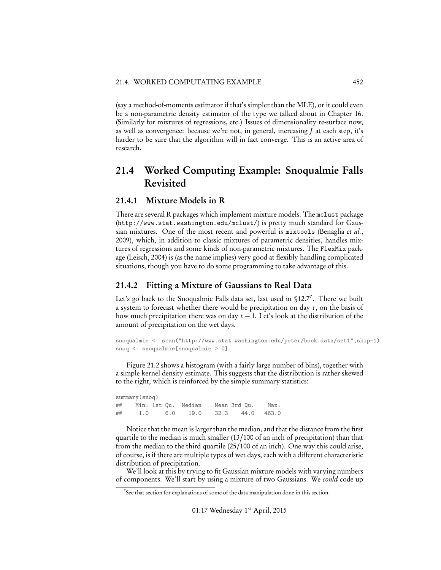(say a method-of-moments estimator if that's simpler than the MLE), or it could even be a non-parametric density estimator of the type we talked about in Chapter 16. (Similarly for mixtures of regressions, etc.) Issues of dimensionality re-surface now, as well as convergence: because we're not, in general, increasing *J* at each step, it's harder to be sure that the algorithm will in fact converge. This is an active area of research.

## 21.4 Worked Computing Example: Snoqualmie Falls Revisited

#### 21.4.1 Mixture Models in R

There are several R packages which implement mixture models. The mclust package (http://www.stat.washington.edu/mclust/) is pretty much standard for Gaussian mixtures. One of the most recent and powerful is mixtools (Benaglia *et al.*, 2009), which, in addition to classic mixtures of parametric densities, handles mixtures of regressions and some kinds of non-parametric mixtures. The FlexMix package (Leisch, 2004) is (as the name implies) very good at flexibly handling complicated situations, though you have to do some programming to take advantage of this.

#### 21.4.2 Fitting a Mixture of Gaussians to Real Data

Let's go back to the Snoqualmie Falls data set, last used in §12.7<sup>7</sup>. There we built a system to forecast whether there would be precipitation on day *t*, on the basis of how much precipitation there was on day  $t - 1$ . Let's look at the distribution of the amount of precipitation on the wet days.

```
snoqualmie <- scan("http://www.stat.washington.edu/peter/book.data/set1",skip=1)
snoq <- snoqualmie [snoqualmie > 0]
```
Figure 21.2 shows a histogram (with a fairly large number of bins), together with a simple kernel density estimate. This suggests that the distribution is rather skewed to the right, which is reinforced by the simple summary statistics:

summary(snoq) ## Min. 1st Qu. Median Mean 3rd Qu. Max. ## 1.0 6.0 19.0 32.3 44.0 463.0

Notice that the mean is larger than the median, and that the distance from the first quartile to the median is much smaller (13/100 of an inch of precipitation) than that from the median to the third quartile (25/100 of an inch). One way this could arise, of course, is if there are multiple types of wet days, each with a different characteristic distribution of precipitation.

We'll look at this by trying to fit Gaussian mixture models with varying numbers of components. We'll start by using a mixture of two Gaussians. We *could* code up

 $7$ See that section for explanations of some of the data manipulation done in this section.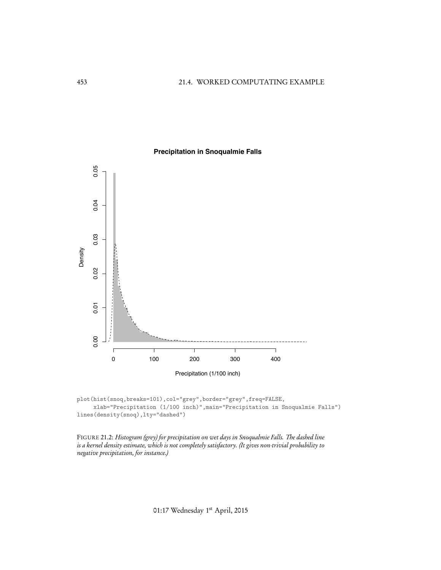

plot(hist(snoq,breaks=101),col="grey",border="grey",freq=FALSE, xlab="Precipitation (1/100 inch)",main="Precipitation in Snoqualmie Falls") lines(density(snoq),lty="dashed")

FIGURE 21.2: *Histogram (grey) for precipitation on wet days in Snoqualmie Falls. The dashed line is a kernel density estimate, which is not completely satisfactory. (It gives non-trivial probability to negative precipitation, for instance.)*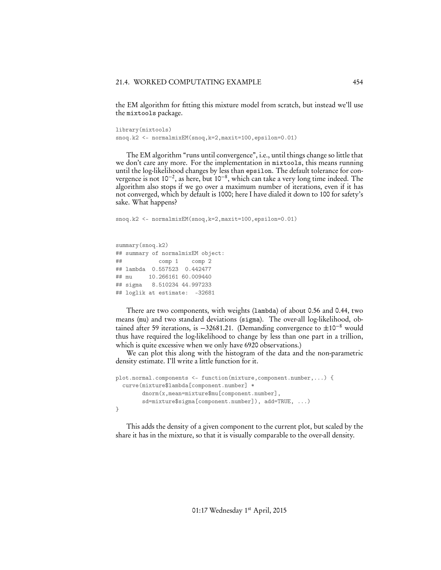the EM algorithm for fitting this mixture model from scratch, but instead we'll use the mixtools package.

```
library(mixtools)
snoq.k2 <- normalmixEM(snoq,k=2,maxit=100,epsilon=0.01)
```
The EM algorithm "runs until convergence", i.e., until things change so little that we don't care any more. For the implementation in mixtools, this means running until the log-likelihood changes by less than epsilon. The default tolerance for convergence is not  $10^{-2}$ , as here, but  $10^{-8}$ , which can take a very long time indeed. The algorithm also stops if we go over a maximum number of iterations, even if it has not converged, which by default is 1000; here I have dialed it down to 100 for safety's sake. What happens?

snoq.k2 <- normalmixEM(snoq, k=2, maxit=100, epsilon=0.01)

```
summary(snoq.k2)
## summary of normalmixEM object:
          comp 1 comp 2
## lambda 0.557523 0.442477
## mu 10.266161 60.009440
## sigma 8.510234 44.997233
## loglik at estimate: -32681
```
There are two components, with weights (lambda) of about 0.56 and 0.44, two means (mu) and two standard deviations (sigma). The over-all log-likelihood, obtained after 59 iterations, is  $-32681.21$ . (Demanding convergence to  $\pm 10^{-8}$  would thus have required the log-likelihood to change by less than one part in a trillion, which is quite excessive when we only have 6920 observations.)

We can plot this along with the histogram of the data and the non-parametric density estimate. I'll write a little function for it.

```
plot.normal.components <- function(mixture,component.number,...) {
  curve(mixture$lambda[component.number] *
        dnorm(x,mean=mixture$mu[component.number],
        sd=mixture$sigma[component.number]), add=TRUE, ...)
}
```
This adds the density of a given component to the current plot, but scaled by the share it has in the mixture, so that it is visually comparable to the over-all density.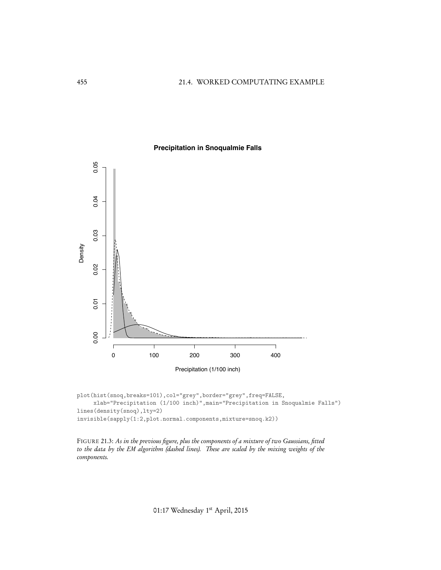

plot(hist(snoq,breaks=101),col="grey",border="grey",freq=FALSE, xlab="Precipitation (1/100 inch)",main="Precipitation in Snoqualmie Falls") lines(density(snoq),lty=2) invisible(sapply(1:2,plot.normal.components,mixture=snoq.k2))

FIGURE 21.3: *As in the previous figure, plus the components of a mixture of two Gaussians, fitted to the data by the EM algorithm (dashed lines). These are scaled by the mixing weights of the components.*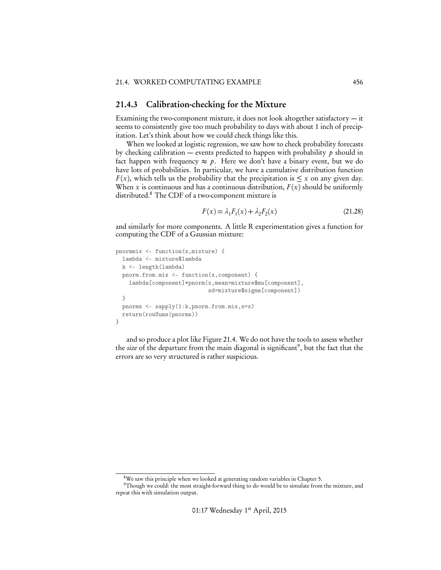#### 21.4.3 Calibration-checking for the Mixture

Examining the two-component mixture, it does not look altogether satisfactory — it seems to consistently give too much probability to days with about 1 inch of precipitation. Let's think about how we could check things like this.

When we looked at logistic regression, we saw how to check probability forecasts by checking calibration — events predicted to happen with probability *p* should in fact happen with frequency  $\approx p$ . Here we don't have a binary event, but we do have lots of probabilities. In particular, we have a cumulative distribution function  $F(x)$ , which tells us the probability that the precipitation is  $\leq x$  on any given day. When *x* is continuous and has a continuous distribution,  $F(x)$  should be uniformly distributed.<sup>8</sup> The CDF of a two-component mixture is

$$
F(x) = \lambda_1 F_1(x) + \lambda_2 F_2(x) \tag{21.28}
$$

and similarly for more components. A little R experimentation gives a function for computing the CDF of a Gaussian mixture:

```
pnormmix <- function(x,mixture) {
  lambda <- mixture$lambda
  k <- length(lambda)
  pnorm.from.mix <- function(x,component) {
   lambda[component]*pnorm(x,mean=mixture$mu[component],
                            sd=mixture$sigma[component])
  }
  pnorms <- sapply(1:k,pnorm.from.mix,x=x)
 return(rowSums(pnorms))
}
```
and so produce a plot like Figure 21.4. We do not have the tools to assess whether the *size* of the departure from the main diagonal is significant<sup>9</sup>, but the fact that the errors are so very structured is rather suspicious.

 $8$ We saw this principle when we looked at generating random variables in Chapter 5.

<sup>9</sup>Though we could: the most straight-forward thing to do would be to simulate from the mixture, and repeat this with simulation output.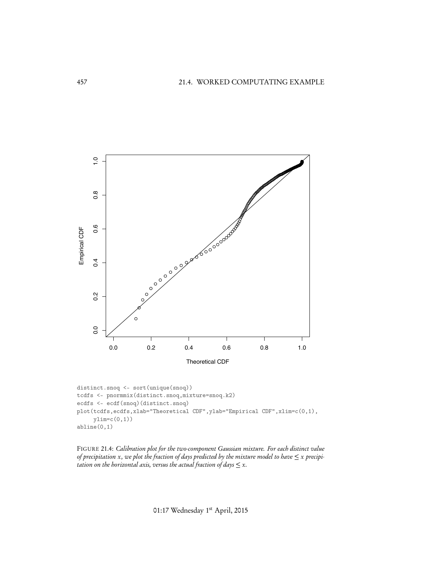

distinct.snoq <- sort(unique(snoq)) tcdfs <- pnormmix(distinct.snoq,mixture=snoq.k2) ecdfs <- ecdf(snoq)(distinct.snoq) plot(tcdfs,ecdfs,xlab="Theoretical CDF",ylab="Empirical CDF",xlim=c(0,1), ylim=c(0,1)) abline(0,1)

FIGURE 21.4: *Calibration plot for the two-component Gaussian mixture. For each distinct value of precipitation x, we plot the fraction of days predicted by the mixture model to have*  $\leq$  *x precipitation on the horizontal axis, versus the actual fraction of days*  $\leq$  *x*.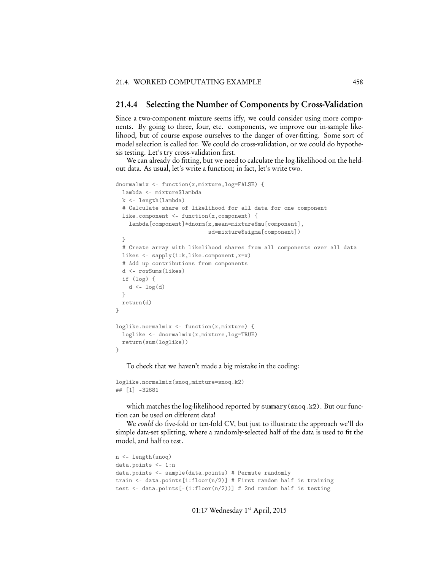#### 21.4.4 Selecting the Number of Components by Cross-Validation

Since a two-component mixture seems iffy, we could consider using more components. By going to three, four, etc. components, we improve our in-sample likelihood, but of course expose ourselves to the danger of over-fitting. Some sort of model selection is called for. We could do cross-validation, or we could do hypothesis testing. Let's try cross-validation first.

We can already do fitting, but we need to calculate the log-likelihood on the heldout data. As usual, let's write a function; in fact, let's write two.

```
dnormalmix <- function(x,mixture,log=FALSE) {
  lambda <- mixture$lambda
  k <- length(lambda)
  # Calculate share of likelihood for all data for one component
  like.component <- function(x,component) {
    lambda[component]*dnorm(x,mean=mixture$mu[component],
                            sd=mixture$sigma[component])
  }
  # Create array with likelihood shares from all components over all data
  likes <- sapply(1:k,like.component,x=x)
  # Add up contributions from components
  d <- rowSums(likes)
  if (log) {
    d \leftarrow \log(d)}
  return(d)
}
loglike.normalmix <- function(x,mixture) {
  loglike <- dnormalmix(x,mixture,log=TRUE)
  return(sum(loglike))
}
```
To check that we haven't made a big mistake in the coding:

```
loglike.normalmix(snoq,mixture=snoq.k2)
## [1] -32681
```
which matches the log-likelihood reported by summary(snoq.k2). But our function can be used on different data!

We *could* do five-fold or ten-fold CV, but just to illustrate the approach we'll do simple data-set splitting, where a randomly-selected half of the data is used to fit the model, and half to test.

```
n <- length(snoq)
data.points <- 1:n
data.points <- sample(data.points) # Permute randomly
train \leq data.points [1:floor(n/2)] # First random half is training
test \leq data.points[-(1:floor(n/2))] # 2nd random half is testing
```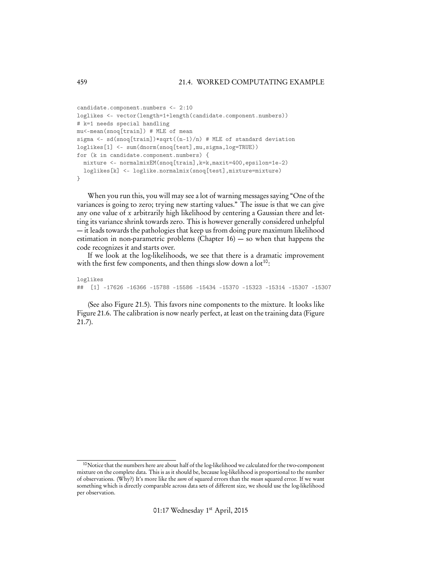```
candidate.component.numbers <- 2:10
loglikes <- vector(length=1+length(candidate.component.numbers))
# k=1 needs special handling
mu<-mean(snoq[train]) # MLE of mean
sigma <- sd(snoq[train])*sqrt((n-1)/n) # MLE of standard deviation
loglikes[1] <- sum(dnorm(snoq[test],mu,sigma,log=TRUE))
for (k in candidate.component.numbers) {
 mixture <- normalmixEM(snoq[train],k=k,maxit=400,epsilon=1e-2)
  loglikes[k] <- loglike.normalmix(snoq[test],mixture=mixture)
}
```
When you run this, you will may see a lot of warning messages saying "One of the variances is going to zero; trying new starting values." The issue is that we can give any one value of *x* arbitrarily high likelihood by centering a Gaussian there and letting its variance shrink towards zero. This is however generally considered unhelpful — it leads towards the pathologies that keep us from doing pure maximum likelihood estimation in non-parametric problems (Chapter 16) — so when that happens the code recognizes it and starts over.

If we look at the log-likelihoods, we see that there is a dramatic improvement with the first few components, and then things slow down a  $\text{lot}^1$ <sup>10</sup>:

loglikes ## [1] -17626 -16366 -15788 -15586 -15434 -15370 -15323 -15314 -15307 -15307

(See also Figure 21.5). This favors nine components to the mixture. It looks like Figure 21.6. The calibration is now nearly perfect, at least on the training data (Figure 21.7).

<sup>10</sup>Notice that the numbers here are about half of the log-likelihood we calculated for the two-component mixture on the complete data. This is as it should be, because log-likelihood is proportional to the number of observations. (Why?) It's more like the *sum* of squared errors than the *mean* squared error. If we want something which is directly comparable across data sets of different size, we should use the log-likelihood per observation.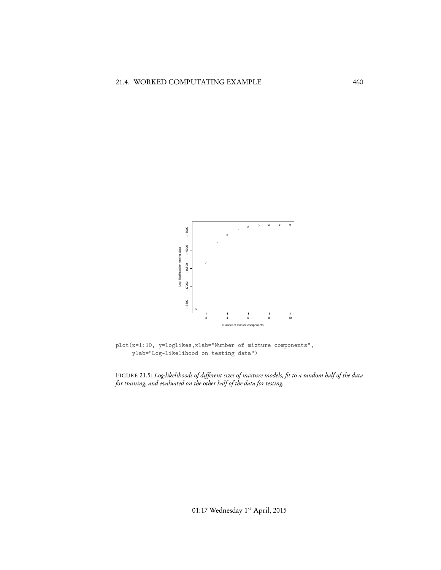

plot(x=1:10, y=loglikes,xlab="Number of mixture components", ylab="Log-likelihood on testing data")

FIGURE 21.5: *Log-likelihoods of different sizes of mixture models, fit to a random half of the data for training, and evaluated on the other half of the data for testing.*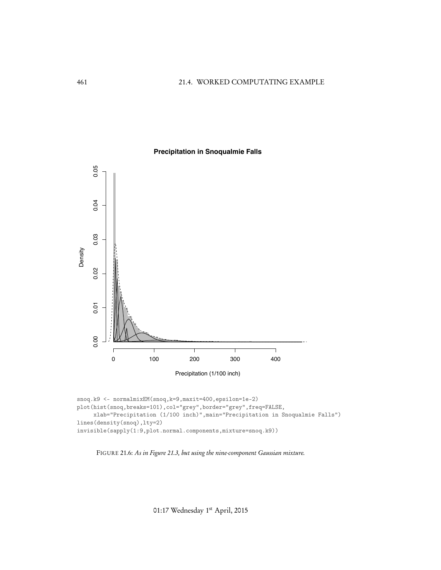

snoq.k9 <- normalmixEM(snoq,k=9,maxit=400,epsilon=1e-2) plot(hist(snoq,breaks=101),col="grey",border="grey",freq=FALSE, xlab="Precipitation (1/100 inch)",main="Precipitation in Snoqualmie Falls") lines(density(snoq),lty=2) invisible(sapply(1:9,plot.normal.components,mixture=snoq.k9))

FIGURE 21.6: *As in Figure 21.3, but using the nine-component Gaussian mixture.*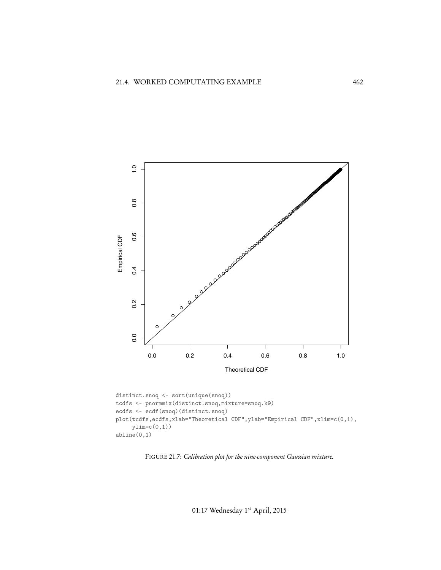

distinct.snoq <- sort(unique(snoq)) tcdfs <- pnormmix(distinct.snoq,mixture=snoq.k9) ecdfs <- ecdf(snoq)(distinct.snoq) plot(tcdfs,ecdfs,xlab="Theoretical CDF",ylab="Empirical CDF",xlim=c(0,1), ylim=c(0,1))  $abline(0,1)$ 

FIGURE 21.7: *Calibration plot for the nine-component Gaussian mixture.*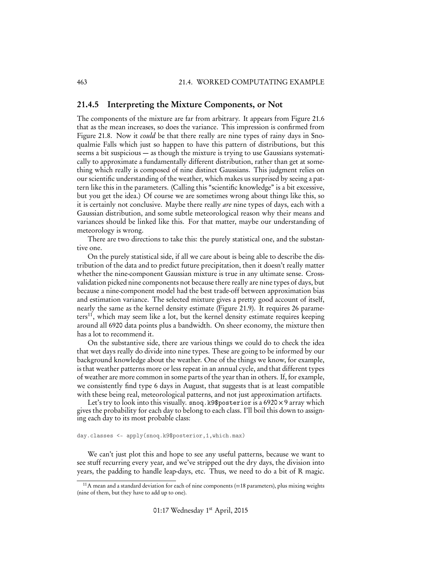#### 21.4.5 Interpreting the Mixture Components, or Not

The components of the mixture are far from arbitrary. It appears from Figure 21.6 that as the mean increases, so does the variance. This impression is confirmed from Figure 21.8. Now it *could* be that there really are nine types of rainy days in Snoqualmie Falls which just so happen to have this pattern of distributions, but this seems a bit suspicious — as though the mixture is trying to use Gaussians systematically to approximate a fundamentally different distribution, rather than get at something which really is composed of nine distinct Gaussians. This judgment relies on our scientific understanding of the weather, which makes us surprised by seeing a pattern like this in the parameters. (Calling this "scientific knowledge" is a bit excessive, but you get the idea.) Of course we are sometimes wrong about things like this, so it is certainly not conclusive. Maybe there really *are* nine types of days, each with a Gaussian distribution, and some subtle meteorological reason why their means and variances should be linked like this. For that matter, maybe our understanding of meteorology is wrong.

There are two directions to take this: the purely statistical one, and the substantive one.

On the purely statistical side, if all we care about is being able to describe the distribution of the data and to predict future precipitation, then it doesn't really matter whether the nine-component Gaussian mixture is true in any ultimate sense. Crossvalidation picked nine components not because there really are nine types of days, but because a nine-component model had the best trade-off between approximation bias and estimation variance. The selected mixture gives a pretty good account of itself, nearly the same as the kernel density estimate (Figure 21.9). It requires 26 parame $ters<sup>11</sup>$ , which may seem like a lot, but the kernel density estimate requires keeping around all 6920 data points plus a bandwidth. On sheer economy, the mixture then has a lot to recommend it.

On the substantive side, there are various things we could do to check the idea that wet days really do divide into nine types. These are going to be informed by our background knowledge about the weather. One of the things we know, for example, is that weather patterns more or less repeat in an annual cycle, and that different types of weather are more common in some parts of the year than in others. If, for example, we consistently find type 6 days in August, that suggests that is at least compatible with these being real, meteorological patterns, and not just approximation artifacts.

Let's try to look into this visually. snoq.k9\$posterior is a  $6920 \times 9$  array which gives the probability for each day to belong to each class. I'll boil this down to assigning each day to its most probable class:

day.classes <- apply(snoq.k9\$posterior,1,which.max)

We can't just plot this and hope to see any useful patterns, because we want to see stuff recurring every year, and we've stripped out the dry days, the division into years, the padding to handle leap-days, etc. Thus, we need to do a bit of R magic.

 $11$ A mean and a standard deviation for each of nine components (=18 parameters), plus mixing weights (nine of them, but they have to add up to one).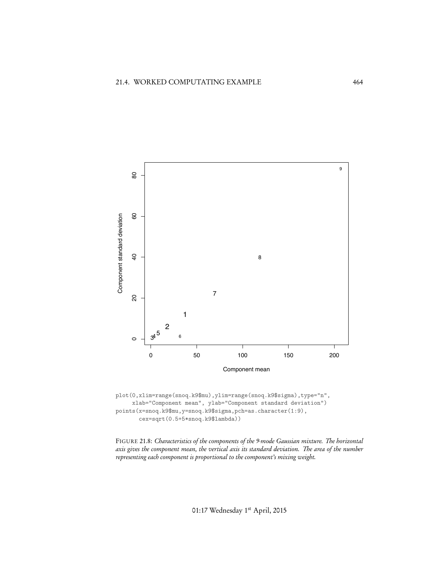

plot(0,xlim=range(snoq.k9\$mu),ylim=range(snoq.k9\$sigma),type="n", xlab="Component mean", ylab="Component standard deviation") points(x=snoq.k9\$mu,y=snoq.k9\$sigma,pch=as.character(1:9), cex=sqrt(0.5+5\*snoq.k9\$lambda))

FIGURE 21.8: *Characteristics of the components of the 9-mode Gaussian mixture. The horizontal axis gives the component mean, the vertical axis its standard deviation. The area of the number representing each component is proportional to the component's mixing weight.*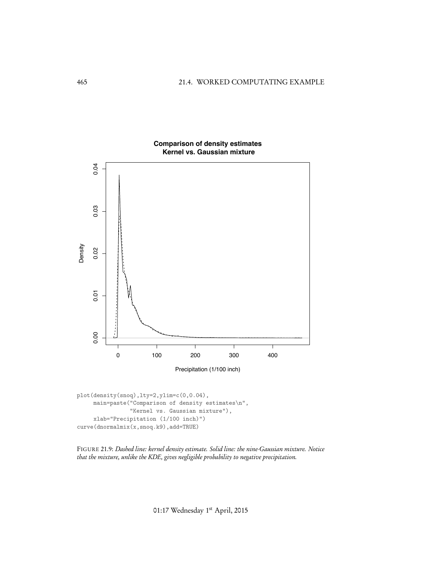

#### **Comparison of density estimates Kernel vs. Gaussian mixture**

main=paste("Comparison of density estimates\n", "Kernel vs. Gaussian mixture"), xlab="Precipitation (1/100 inch)") curve(dnormalmix(x,snoq.k9),add=TRUE)

FIGURE 21.9: *Dashed line: kernel density estimate. Solid line: the nine-Gaussian mixture. Notice that the mixture, unlike the KDE, gives negligible probability to negative precipitation.*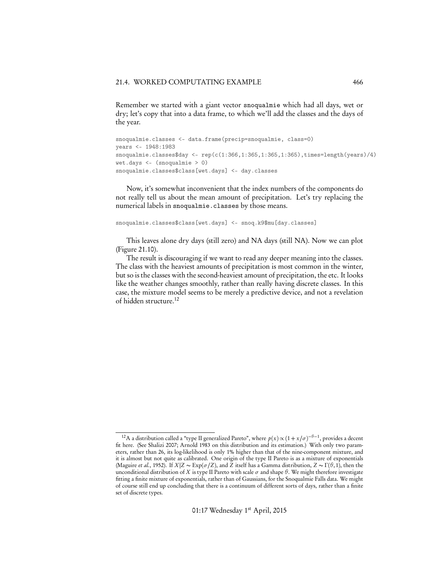Remember we started with a giant vector snoqualmie which had all days, wet or dry; let's copy that into a data frame, to which we'll add the classes and the days of the year.

```
snoqualmie.classes <- data.frame(precip=snoqualmie, class=0)
years <- 1948:1983
snoqualmie.classes$day <- rep(c(1:366,1:365,1:365,1:365),times=length(years)/4)
wet.days <- (snoqualmie > 0)
snoqualmie.classes$class[wet.days] <- day.classes
```
Now, it's somewhat inconvenient that the index numbers of the components do not really tell us about the mean amount of precipitation. Let's try replacing the numerical labels in snoqualmie.classes by those means.

snoqualmie.classes\$class[wet.days] <- snoq.k9\$mu[day.classes]

This leaves alone dry days (still zero) and NA days (still NA). Now we can plot (Figure 21.10).

The result is discouraging if we want to read any deeper meaning into the classes. The class with the heaviest amounts of precipitation is most common in the winter, but so is the classes with the second-heaviest amount of precipitation, the etc. It looks like the weather changes smoothly, rather than really having discrete classes. In this case, the mixture model seems to be merely a predictive device, and not a revelation of hidden structure.<sup>12</sup>

<sup>&</sup>lt;sup>12</sup>A a distribution called a "type II generalized Pareto", where  $p(x) \propto (1 + x/\sigma)^{-\theta - 1}$ , provides a decent fit here. (See Shalizi 2007; Arnold 1983 on this distribution and its estimation.) With only two parameters, rather than 26, its log-likelihood is only 1% higher than that of the nine-component mixture, and it is almost but not quite as calibrated. One origin of the type II Pareto is as a mixture of exponentials (Maguire *et al.*, 1952). If  $X|Z \sim \text{Exp}(\sigma/Z)$ , and *Z* itself has a Gamma distribution,  $Z \sim \Gamma(\theta, 1)$ , then the unconditional distribution of *X* is type II Pareto with scale  $\sigma$  and shape  $\theta$ . We might therefore investigate fitting a finite mixture of exponentials, rather than of Gaussians, for the Snoqualmie Falls data. We might of course still end up concluding that there is a continuum of different sorts of days, rather than a finite set of discrete types.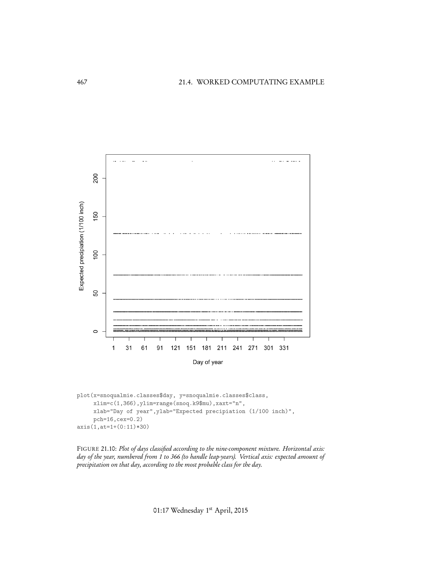

plot(x=snoqualmie.classes\$day, y=snoqualmie.classes\$class, xlim=c(1,366),ylim=range(snoq.k9\$mu),xaxt="n", xlab="Day of year",ylab="Expected precipiation (1/100 inch)", pch=16,cex=0.2) axis(1,at=1+(0:11)\*30)

FIGURE 21.10: *Plot of days classified according to the nine-component mixture. Horizontal axis: day of the year, numbered from 1 to 366 (to handle leap-years). Vertical axis: expected amount of precipitation on that day, according to the most probable class for the day.*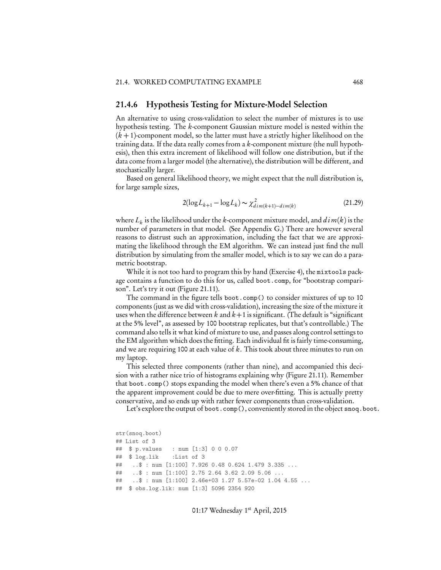#### 21.4.6 Hypothesis Testing for Mixture-Model Selection

An alternative to using cross-validation to select the number of mixtures is to use hypothesis testing. The *k*-component Gaussian mixture model is nested within the  $(k + 1)$ -component model, so the latter must have a strictly higher likelihood on the training data. If the data really comes from a *k*-component mixture (the null hypothesis), then this extra increment of likelihood will follow one distribution, but if the data come from a larger model (the alternative), the distribution will be different, and stochastically larger.

Based on general likelihood theory, we might expect that the null distribution is, for large sample sizes,

$$
2(\log L_{k+1} - \log L_k) \sim \chi^2_{dim(k+1) - dim(k)}
$$
\n(21.29)

where  $L_k$  is the likelihood under the *k*-component mixture model, and  $dim(k)$  is the number of parameters in that model. (See Appendix G.) There are however several reasons to distrust such an approximation, including the fact that we are approximating the likelihood through the EM algorithm. We can instead just find the null distribution by simulating from the smaller model, which is to say we can do a parametric bootstrap.

While it is not too hard to program this by hand (Exercise 4), the mixtools package contains a function to do this for us, called boot.comp, for "bootstrap comparison". Let's try it out (Figure 21.11).

The command in the figure tells boot.comp() to consider mixtures of up to 10 components (just as we did with cross-validation), increasing the size of the mixture it uses when the difference between *k* and *k*+1 is significant. (The default is "significant at the 5% level", as assessed by 100 bootstrap replicates, but that's controllable.) The command also tells it what kind of mixture to use, and passes along control settings to the EM algorithm which does the fitting. Each individual fit is fairly time-consuming, and we are requiring 100 at each value of *k*. This took about three minutes to run on my laptop.

This selected three components (rather than nine), and accompanied this decision with a rather nice trio of histograms explaining why (Figure 21.11). Remember that boot.comp() stops expanding the model when there's even a 5% chance of that the apparent improvement could be due to mere over-fitting. This is actually pretty conservative, and so ends up with rather fewer components than cross-validation.

Let's explore the output of boot.comp(), conveniently stored in the object snoq.boot.

```
str(snoq.boot)
## List of 3
## $ p.values : num [1:3] 0 0 0.07
## $ log.lik :List of 3
## ..$ : num [1:100] 7.926 0.48 0.624 1.479 3.335 ...
## ..$ : num [1:100] 2.75 2.64 3.62 2.09 5.06 ...
## ..$ : num [1:100] 2.46e+03 1.27 5.57e-02 1.04 4.55 ...
## $ obs.log.lik: num [1:3] 5096 2354 920
```
01:17 Wednesday 1<sup>st</sup> April, 2015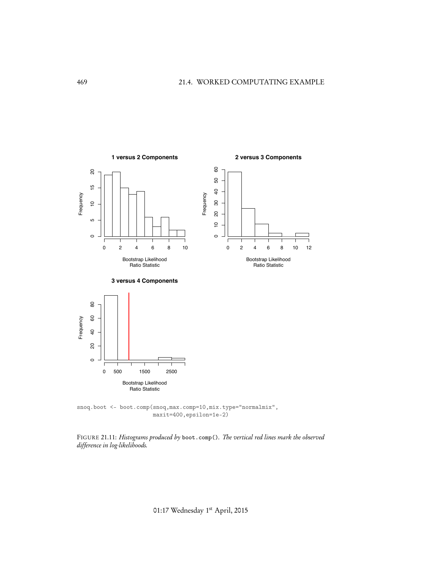



snoq.boot <- boot.comp(snoq,max.comp=10,mix.type="normalmix", maxit=400,epsilon=1e-2)

FIGURE 21.11: *Histograms produced by* boot.comp()*. The vertical red lines mark the observed difference in log-likelihoods.*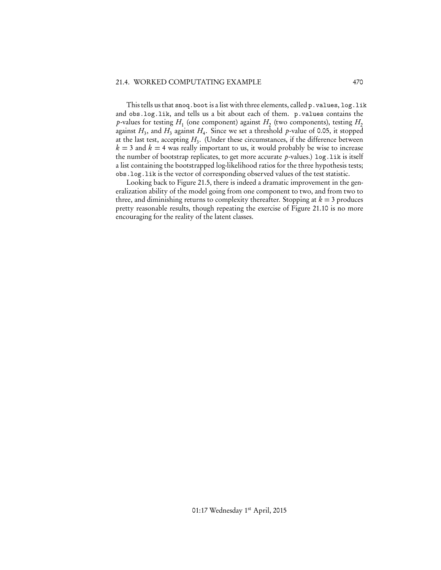This tells us that snoq.boot is a list with three elements, called p.values, log.lik and obs.log.lik, and tells us a bit about each of them. p.values contains the *p*-values for testing  $H_1$  (one component) against  $H_2$  (two components), testing  $H_2$ against  $H_3$ , and  $H_3$  against  $H_4$ . Since we set a threshold p-value of 0.05, it stopped at the last test, accepting  $H_3$ . (Under these circumstances, if the difference between  $k = 3$  and  $k = 4$  was really important to us, it would probably be wise to increase the number of bootstrap replicates, to get more accurate  $p$ -values.)  $\log$  lik is itself a list containing the bootstrapped log-likelihood ratios for the three hypothesis tests; obs.log.lik is the vector of corresponding observed values of the test statistic.

Looking back to Figure 21.5, there is indeed a dramatic improvement in the generalization ability of the model going from one component to two, and from two to three, and diminishing returns to complexity thereafter. Stopping at  $k = 3$  produces pretty reasonable results, though repeating the exercise of Figure 21.10 is no more encouraging for the reality of the latent classes.